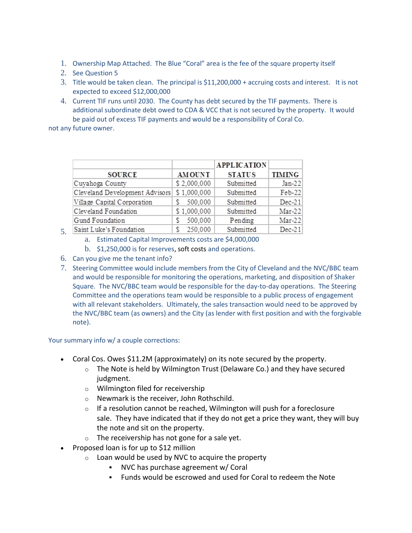- 1. Ownership Map Attached. The Blue "Coral" area is the fee of the square property itself
- 2. See Question 5
- 3. Title would be taken clean. The principal is \$11,200,000 + accruing costs and interest. It is not expected to exceed \$12,000,000
- 4. Current TIF runs until 2030. The County has debt secured by the TIF payments. There is additional subordinate debt owed to CDA & VCC that is not secured by the property. It would be paid out of excess TIF payments and would be a responsibility of Coral Co.

not any future owner.

5.

|                                |               | <b>APPLICATION</b> |               |
|--------------------------------|---------------|--------------------|---------------|
| <b>SOURCE</b>                  | <b>AMOUNT</b> | <b>STATUS</b>      | <b>TIMING</b> |
| Cuyahoga County                | \$2,000,000   | Submitted          | $Jan-22$      |
| Cleveland Development Advisors | \$1,000,000   | Submitted          | Feb-22        |
| Village Capital Corporation    | 500,000       | Submitted          | $Dec-21$      |
| Cleveland Foundation           | \$1,000,000   | Submitted          | $Mar-22$      |
| Gund Foundation                | 500,000       | Pending            | $Mar-22$      |
| Saint Luke's Foundation        | 250,000       | Submitted          | $Dec-21$      |

- a. Estimated Capital Improvements costs are \$4,000,000
- b. \$1,250,000 is for reserves, soft costs and operations.
- 6. Can you give me the tenant info?
- 7. Steering Committee would include members from the City of Cleveland and the NVC/BBC team and would be responsible for monitoring the operations, marketing, and disposition of Shaker Square. The NVC/BBC team would be responsible for the day-to-day operations. The Steering Committee and the operations team would be responsible to a public process of engagement with all relevant stakeholders. Ultimately, the sales transaction would need to be approved by the NVC/BBC team (as owners) and the City (as lender with first position and with the forgivable note).

Your summary info w/ a couple corrections:

- Coral Cos. Owes \$11.2M (approximately) on its note secured by the property.
	- $\circ$  The Note is held by Wilmington Trust (Delaware Co.) and they have secured judgment.
	- o Wilmington filed for receivership
	- o Newmark is the receiver, John Rothschild.
	- $\circ$  If a resolution cannot be reached, Wilmington will push for a foreclosure sale. They have indicated that if they do not get a price they want, they will buy the note and sit on the property.
	- $\circ$  The receivership has not gone for a sale yet.
- Proposed loan is for up to \$12 million
	- $\circ$  Loan would be used by NVC to acquire the property
		- NVC has purchase agreement w/ Coral
		- Funds would be escrowed and used for Coral to redeem the Note